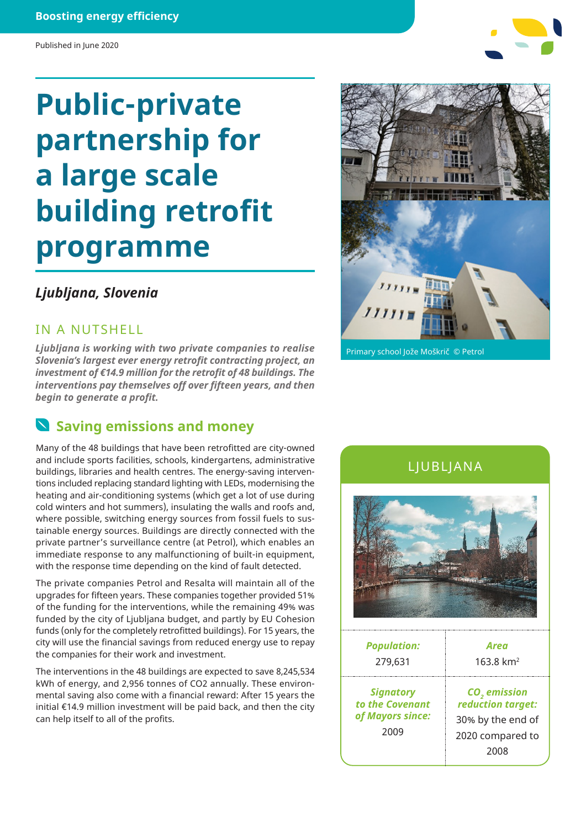#### **Boosting energy efficiency**

#### Published in June 2020

# **Public-private partnership for a large scale building retrofit programme**

### *Ljubljana, Slovenia*

IN A NUTSHELL

*Ljubljana is working with two private companies to realise Slovenia's largest ever energy retrofit contracting project, an investment of €14.9 million for the retrofit of 48 buildings. The interventions pay themselves off over fifteen years, and then begin to generate a profit.*

### **Saving emissions and money**

Many of the 48 buildings that have been retrofitted are city-owned and include sports facilities, schools, kindergartens, administrative buildings, libraries and health centres. The energy-saving interventions included replacing standard lighting with LEDs, modernising the heating and air-conditioning systems (which get a lot of use during cold winters and hot summers), insulating the walls and roofs and, where possible, switching energy sources from fossil fuels to sustainable energy sources. Buildings are directly connected with the private partner's surveillance centre (at Petrol), which enables an immediate response to any malfunctioning of built-in equipment, with the response time depending on the kind of fault detected.

The private companies Petrol and Resalta will maintain all of the upgrades for fifteen years. These companies together provided 51% of the funding for the interventions, while the remaining 49% was funded by the city of Ljubljana budget, and partly by EU Cohesion funds (only for the completely retrofitted buildings). For 15 years, the city will use the financial savings from reduced energy use to repay the companies for their work and investment.

The interventions in the 48 buildings are expected to save 8,245,534 kWh of energy, and 2,956 tonnes of CO2 annually. These environmental saving also come with a financial reward: After 15 years the initial €14.9 million investment will be paid back, and then the city can help itself to all of the profits.

## Primary school Jože Moškrič © Petrol

### LJUBLJANA



| <b>Population:</b>                                              | Area                                                                                           |
|-----------------------------------------------------------------|------------------------------------------------------------------------------------------------|
| 279,631                                                         | $163.8 \text{ km}^2$                                                                           |
| <b>Signatory</b><br>to the Covenant<br>of Mayors since:<br>2009 | CO <sub>2</sub> emission<br>reduction target:<br>30% by the end of<br>2020 compared to<br>2008 |